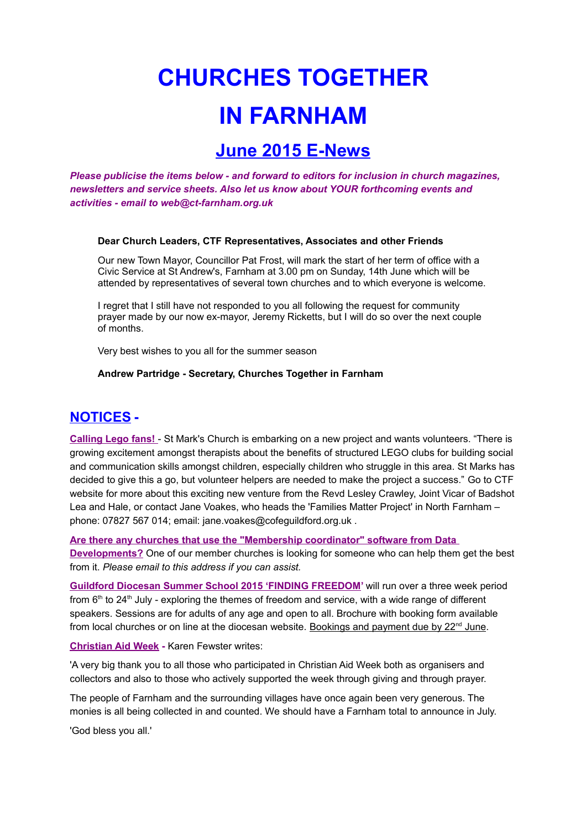# **CHURCHES TOGETHER IN FARNHAM**

## **June 2015 E-News**

*Please publicise the items below - and forward to editors for inclusion in church magazines, newsletters and service sheets. Also let us know about YOUR forthcoming events and activities - email to web@ct-farnham.org.uk*

#### **Dear Church Leaders, CTF Representatives, Associates and other Friends**

Our new Town Mayor, Councillor Pat Frost, will mark the start of her term of office with a Civic Service at St Andrew's, Farnham at 3.00 pm on Sunday, 14th June which will be attended by representatives of several town churches and to which everyone is welcome.

I regret that I still have not responded to you all following the request for community prayer made by our now ex-mayor, Jeremy Ricketts, but I will do so over the next couple of months.

Very best wishes to you all for the summer season

#### **Andrew Partridge - Secretary, Churches Together in Farnham**

### **NOTICES -**

**Calling Lego fans!** - St Mark's Church is embarking on a new project and wants volunteers. "There is growing excitement amongst therapists about the benefits of structured LEGO clubs for building social and communication skills amongst children, especially children who struggle in this area. St Marks has decided to give this a go, but volunteer helpers are needed to make the project a success." Go to CTF website for more about this exciting new venture from the Revd Lesley Crawley, Joint Vicar of Badshot Lea and Hale, or contact Jane Voakes, who heads the 'Families Matter Project' in North Farnham – phone: 07827 567 014; email: jane.voakes@cofeguildford.org.uk .

**Are there any churches that use the "Membership coordinator" software from Data Developments?** One of our member churches is looking for someone who can help them get the best from it. *Please email to this address if you can assist.*

**Guildford Diocesan Summer School 2015 'FINDING FREEDOM'** will run over a three week period from  $6<sup>th</sup>$  to 24<sup>th</sup> July - exploring the themes of freedom and service, with a wide range of different speakers. Sessions are for adults of any age and open to all. Brochure with booking form available from local churches or on line at the diocesan website. Bookings and payment due by 22<sup>nd</sup> June.

#### **Christian Aid Week -** Karen Fewster writes:

'A very big thank you to all those who participated in Christian Aid Week both as organisers and collectors and also to those who actively supported the week through giving and through prayer.

The people of Farnham and the surrounding villages have once again been very generous. The monies is all being collected in and counted. We should have a Farnham total to announce in July.

'God bless you all.'